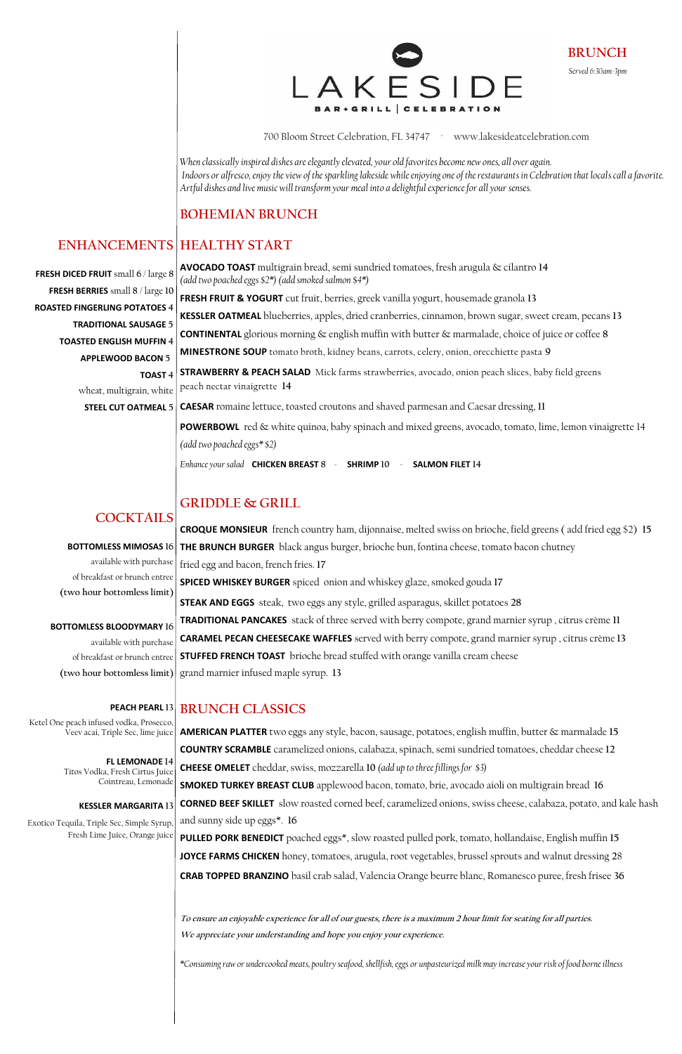700 Bloom Street Celebration, FL 34747 · www.lakesideatcelebration.com

*When classically inspired dishes are elegantly elevated, your old favorites become new ones, all over again. Indoors or alfresco, enjoy the view of the sparkling lakeside while enjoying one of the restaurants in Celebration that locals call a favorite. Artful dishes and live music will transform your meal into a delightful experience for all your senses.*

#### **BOHEMIAN BRUNCH**

**AVOCADO TOAST** multigrain bread, semi sundried tomatoes, fresh arugula & cilantro **14** 

*(add two poached eggs \$2\*) (add smoked salmon \$4\*)*

**FRESH FRUIT & YOGURT** cut fruit, berries, greek vanilla yogurt, housemade granola **13**

**KESSLER OATMEAL** blueberries, apples, dried cranberries, cinnamon, brown sugar, sweet cream, pecans **13 CONTINENTAL** glorious morning & english muffin with butter & marmalade, choice of juice or coffee **8 MINESTRONE SOUP** tomato broth, kidney beans, carrots, celery, onion, orecchiette pasta **9 STRAWBERRY & PEACH SALAD** Mick farms strawberries, avocado, onion peach slices, baby field greens peach nectar vinaigrette **14 CAESAR** romaine lettuce, toasted croutons and shaved parmesan and Caesar dressing, **11 POWERBOWL** red & white quinoa, baby spinach and mixed greens, avocado, tomato, lime, lemon vinaigrette 14 *(add two poached eggs\* \$2) Enhance your salad* **CHICKEN BREAST 8** - **SHRIMP 10** - **SALMON FILET 14**

#### **GRIDDLE & GRILL**

**CROQUE MONSIEUR** french country ham, dijonnaise, melted swiss on brioche, field greens ( add fried egg \$2) **15**

**THE BRUNCH BURGER** black angus burger, brioche bun, fontina cheese, tomato bacon chutney fried egg and bacon, french fries. **17 SPICED WHISKEY BURGER** spiced onion and whiskey glaze, smoked gouda **17 STEAK AND EGGS** steak, two eggs any style, grilled asparagus, skillet potatoes **28 TRADITIONAL PANCAKES** stack of three served with berry compote, grand marnier syrup , citrus crème **11 CARAMEL PECAN CHEESECAKE WAFFLES** served with berry compote, grand marnier syrup , citrus crème **13 STUFFED FRENCH TOAST** brioche bread stuffed with orange vanilla cream cheese grand marnier infused maple syrup. **13**

### **HEALTHY START ENHANCEMENTS**

**AMERICAN PLATTER** two eggs any style, bacon, sausage, potatoes, english muffin, butter & marmalade **15 COUNTRY SCRAMBLE** caramelized onions, calabaza, spinach, semi sundried tomatoes, cheddar cheese **12 CHEESE OMELET** cheddar, swiss, mozzarella **10** *(add up to three fillings for \$3)*

**SMOKED TURKEY BREAST CLUB** applewood bacon, tomato, brie, avocado aioli on multigrain bread **16 CORNED BEEF SKILLET** slow roasted corned beef, caramelized onions, swiss cheese, calabaza, potato, and kale hash and sunny side up eggs\*. **16**

**PULLED PORK BENEDICT** poached eggs\*, slow roasted pulled pork, tomato, hollandaise, English muffin **15 JOYCE FARMS CHICKEN** honey, tomatoes, arugula, root vegetables, brussel sprouts and walnut dressing **2**8 **CRAB TOPPED BRANZINO** basil crab salad, Valencia Orange beurre blanc, Romanesco puree, fresh frisee **36**

#### **BRUNCH CLASSICS PEACH PEARL 13**

**To ensure an enjoyable experience for all of our guests, there is a maximum 2 hour limit for seating for all parties. We appreciate your understanding and hope you enjoy your experience.**

*\*Consuming raw or undercooked meats, poultry seafood, shellfish, eggs or unpasteurized milk may increase your risk of food borneillness* 

**BRUNCH** *Served 6:30am-3pm* 



**FRESH DICED FRUIT** small **6** / large **8 FRESH BERRIES** small **8** / large **10 ROASTED FINGERLING POTATOES 4 TRADITIONAL SAUSAGE 5 TOASTED ENGLISH MUFFIN 4 APPLEWOOD BACON 5 TOAST 4** wheat, multigrain, white

**STEEL CUT OATMEAL 5**

**COCKTAILS**

**BOTTOMLESS MIMOSAS 16** available with purchase of breakfast or brunch entree **(two hour bottomless limit)**

**BOTTOMLESS BLOODYMARY 16** available with purchase of breakfast or brunch entree **(two hour bottomless limit)**

Ketel One peach infused vodka, Prosecco, Veev acai, Triple Sec, lime juice

> **FL LEMONADE 14** Titos Vodka, Fresh Cirtus Juice

> > Cointreau, Lemonade

#### **KESSLER MARGARITA 13**

Exotico Tequila, Triple Sec, Simple Syrup, Fresh Lime Juice, Orange juice